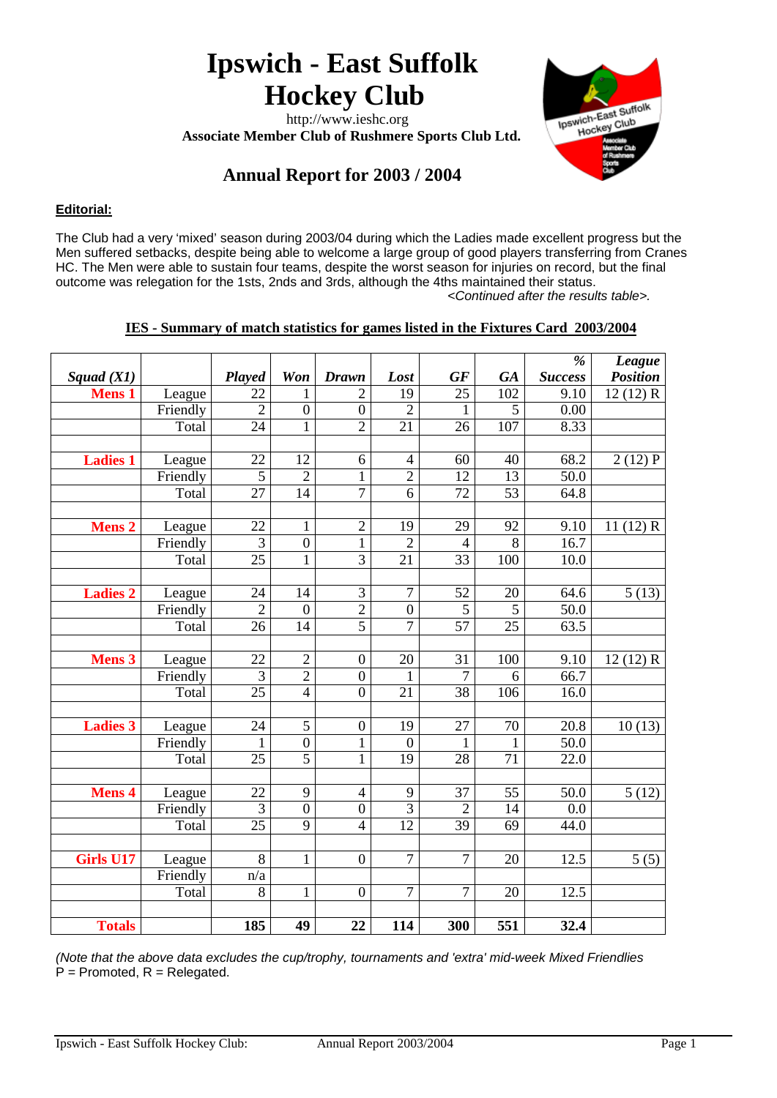# **Ipswich - East Suffolk Hockey Club**

 http://www.ieshc.org  **Associate Member Club of Rushmere Sports Club Ltd.**



## **Annual Report for 2003 / 2004**

#### **Editorial:**

The Club had a very 'mixed' season during 2003/04 during which the Ladies made excellent progress but the Men suffered setbacks, despite being able to welcome a large group of good players transferring from Cranes HC. The Men were able to sustain four teams, despite the worst season for injuries on record, but the final outcome was relegation for the 1sts, 2nds and 3rds, although the 4ths maintained their status.  *<Continued after the results table>.*

#### **IES - Summary of match statistics for games listed in the Fixtures Card 2003/2004**

|                  |          |                 |                  |                         |                 |                  |                | %                | <b>League</b>   |
|------------------|----------|-----------------|------------------|-------------------------|-----------------|------------------|----------------|------------------|-----------------|
| Squad $(XI)$     |          | Played          | Won              | <b>Drawn</b>            | Lost            | GF               | <b>GA</b>      | <b>Success</b>   | <b>Position</b> |
| <b>Mens 1</b>    | League   | 22              | 1                | $\overline{2}$          | 19              | 25               | 102            | 9.10             | 12(12) R        |
|                  | Friendly | $\overline{2}$  | $\boldsymbol{0}$ | $\boldsymbol{0}$        | $\overline{2}$  | $\mathbf{1}$     | $\overline{5}$ | 0.00             |                 |
|                  | Total    | 24              | $\mathbf{1}$     | $\overline{2}$          | 21              | 26               | 107            | 8.33             |                 |
|                  |          |                 |                  |                         |                 |                  |                |                  |                 |
| <b>Ladies 1</b>  | League   | 22              | 12               | $\sqrt{6}$              | $\overline{4}$  | 60               | 40             | 68.2             | 2(12)P          |
|                  | Friendly | 5               | $\overline{2}$   | $\mathbf{1}$            | $\overline{2}$  | 12               | 13             | 50.0             |                 |
|                  | Total    | $\overline{27}$ | $\overline{14}$  | $\overline{7}$          | 6               | 72               | 53             | 64.8             |                 |
|                  |          |                 |                  |                         |                 |                  |                |                  |                 |
| <b>Mens 2</b>    | League   | 22              | $\mathbf{1}$     | $\overline{c}$          | 19              | 29               | 92             | 9.10             | 11(12) R        |
|                  | Friendly | $\overline{3}$  | $\overline{0}$   | $\overline{1}$          | $\overline{2}$  | $\overline{4}$   | $\overline{8}$ | 16.7             |                 |
|                  | Total    | $\overline{25}$ | $\mathbf{1}$     | $\overline{3}$          | $\overline{21}$ | 33               | 100            | 10.0             |                 |
|                  |          |                 |                  |                         |                 |                  |                |                  |                 |
| <b>Ladies 2</b>  | League   | 24              | 14               | 3                       | $\overline{7}$  | 52               | 20             | 64.6             | 5(13)           |
|                  | Friendly | $\overline{2}$  | $\overline{0}$   | $\overline{c}$          | $\overline{0}$  | $\mathfrak{S}$   | 5              | 50.0             |                 |
|                  | Total    | 26              | 14               | $\overline{5}$          | $\overline{7}$  | 57               | 25             | 63.5             |                 |
|                  |          |                 |                  |                         |                 |                  |                |                  |                 |
| <b>Mens 3</b>    | League   | 22              | $\overline{2}$   | $\overline{0}$          | 20              | 31               | 100            | 9.10             | 12(12) R        |
|                  | Friendly | $\overline{3}$  | $\overline{2}$   | $\overline{0}$          | $\mathbf{1}$    | $\overline{7}$   | 6              | 66.7             |                 |
|                  | Total    | 25              | $\overline{4}$   | $\overline{0}$          | $\overline{21}$ | $\overline{38}$  | 106            | 16.0             |                 |
|                  |          |                 |                  |                         |                 |                  |                |                  |                 |
| <b>Ladies 3</b>  | League   | 24              | 5                | $\boldsymbol{0}$        | 19              | 27               | 70             | 20.8             | 10(13)          |
|                  | Friendly | 1               | $\boldsymbol{0}$ | $\mathbf{1}$            | $\overline{0}$  | $\mathbf{1}$     | $\mathbf{1}$   | 50.0             |                 |
|                  | Total    | 25              | $\overline{5}$   | $\mathbf{1}$            | 19              | 28               | 71             | 22.0             |                 |
|                  |          |                 |                  |                         |                 |                  |                |                  |                 |
| <b>Mens 4</b>    | League   | 22              | 9                | $\overline{\mathbf{4}}$ | 9               | 37               | 55             | 50.0             | 5(12)           |
|                  | Friendly | $\overline{3}$  | $\overline{0}$   | $\overline{0}$          | $\overline{3}$  | $\overline{2}$   | 14             | $0.\overline{0}$ |                 |
|                  | Total    | $\overline{25}$ | $\overline{9}$   | $\overline{\mathbf{4}}$ | 12              | 39               | 69             | 44.0             |                 |
|                  |          |                 |                  |                         |                 |                  |                |                  |                 |
| <b>Girls U17</b> | League   | 8               | $\mathbf{1}$     | $\boldsymbol{0}$        | $\overline{7}$  | $\boldsymbol{7}$ | 20             | 12.5             | 5(5)            |
|                  | Friendly | n/a             |                  |                         |                 |                  |                |                  |                 |
|                  | Total    | 8               | $\mathbf{1}$     | $\boldsymbol{0}$        | $\overline{7}$  | $\overline{7}$   | 20             | 12.5             |                 |
|                  |          |                 |                  |                         |                 |                  |                |                  |                 |
| <b>Totals</b>    |          | 185             | 49               | 22                      | 114             | 300              | 551            | 32.4             |                 |

*(Note that the above data excludes the cup/trophy, tournaments and 'extra' mid-week Mixed Friendlies*  $\dot{P}$  = Promoted, R = Relegated.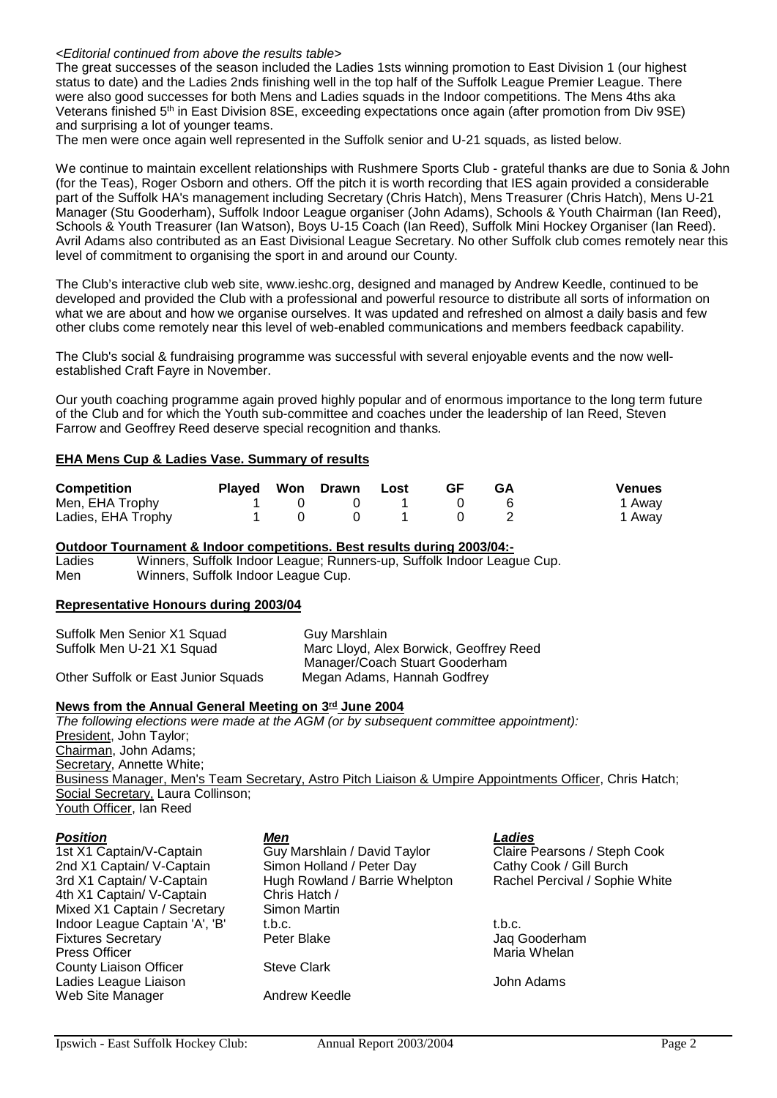#### *<Editorial continued from above the results table>*

The great successes of the season included the Ladies 1sts winning promotion to East Division 1 (our highest status to date) and the Ladies 2nds finishing well in the top half of the Suffolk League Premier League. There were also good successes for both Mens and Ladies squads in the Indoor competitions. The Mens 4ths aka Veterans finished 5<sup>th</sup> in East Division 8SE, exceeding expectations once again (after promotion from Div 9SE) and surprising a lot of younger teams.

The men were once again well represented in the Suffolk senior and U-21 squads, as listed below.

We continue to maintain excellent relationships with Rushmere Sports Club - grateful thanks are due to Sonia & John (for the Teas), Roger Osborn and others. Off the pitch it is worth recording that IES again provided a considerable part of the Suffolk HA's management including Secretary (Chris Hatch), Mens Treasurer (Chris Hatch), Mens U-21 Manager (Stu Gooderham), Suffolk Indoor League organiser (John Adams), Schools & Youth Chairman (Ian Reed), Schools & Youth Treasurer (Ian Watson), Boys U-15 Coach (Ian Reed), Suffolk Mini Hockey Organiser (Ian Reed). Avril Adams also contributed as an East Divisional League Secretary. No other Suffolk club comes remotely near this level of commitment to organising the sport in and around our County.

The Club's interactive club web site, www.ieshc.org, designed and managed by Andrew Keedle, continued to be developed and provided the Club with a professional and powerful resource to distribute all sorts of information on what we are about and how we organise ourselves. It was updated and refreshed on almost a daily basis and few other clubs come remotely near this level of web-enabled communications and members feedback capability.

The Club's social & fundraising programme was successful with several enjoyable events and the now wellestablished Craft Fayre in November.

Our youth coaching programme again proved highly popular and of enormous importance to the long term future of the Club and for which the Youth sub-committee and coaches under the leadership of Ian Reed, Steven Farrow and Geoffrey Reed deserve special recognition and thanks*.*

#### **EHA Mens Cup & Ladies Vase. Summary of results**

| <b>Competition</b> |  | Played Won Drawn Lost | -GF | <b>GA</b> | <b>Venues</b> |
|--------------------|--|-----------------------|-----|-----------|---------------|
| Men, EHA Trophy    |  |                       |     |           | 1 Away        |
| Ladies, EHA Trophy |  |                       |     |           | 1 Away        |

**Outdoor Tournament & Indoor competitions. Best results during 2003/04:-**

Ladies Winners, Suffolk Indoor League; Runners-up, Suffolk Indoor League Cup.<br>Men Winners, Suffolk Indoor League Cup. Winners, Suffolk Indoor League Cup.

#### **Representative Honours during 2003/04**

| Suffolk Men Senior X1 Squad         | Guy Marshlain                           |
|-------------------------------------|-----------------------------------------|
| Suffolk Men U-21 X1 Squad           | Marc Lloyd, Alex Borwick, Geoffrey Reed |
|                                     | Manager/Coach Stuart Gooderham          |
| Other Suffolk or East Junior Squads | Megan Adams, Hannah Godfrey             |

#### **News from the Annual General Meeting on 3rd June 2004**

*The following elections were made at the AGM (or by subsequent committee appointment):* President, John Taylor; Chairman, John Adams; Secretary, Annette White; Business Manager, Men's Team Secretary, Astro Pitch Liaison & Umpire Appointments Officer, Chris Hatch; Social Secretary, Laura Collinson; Youth Officer, Ian Reed

| 1st X1 Captain/V-Captain       |
|--------------------------------|
| 2nd X1 Captain/ V-Captain      |
| 3rd X1 Captain/ V-Captain      |
| 4th X1 Captain/ V-Captain      |
| Mixed X1 Captain / Secretary   |
| Indoor League Captain 'A', 'B' |
| <b>Fixtures Secretary</b>      |
| <b>Press Officer</b>           |
| <b>County Liaison Officer</b>  |
| Ladies League Liaison          |
| Web Site Manager               |
|                                |

*Position Men Ladies* 1st X1 Claire Pearsons / Steph Cook<br>1st X1 Claire Pearsons / Steph Cook<br>1st X1 Cathy Cook / Gill Burch 2000 Simon Holland / Peter Day Cathy Cook / Gill Burch<br>2010 Hugh Rowland / Barrie Whelpton Rachel Percival / Sophie White Hugh Rowland / Barrie Whelpton Chris Hatch / Simon Martin<br>t.b.c. Indoor League Captain 'A', 'B' t.b.c. t.b.c. t.b.c. Peter Blake Jaq Gooderham **Steve Clark Andrew Keedle** 

Maria Whelan

**John Adams**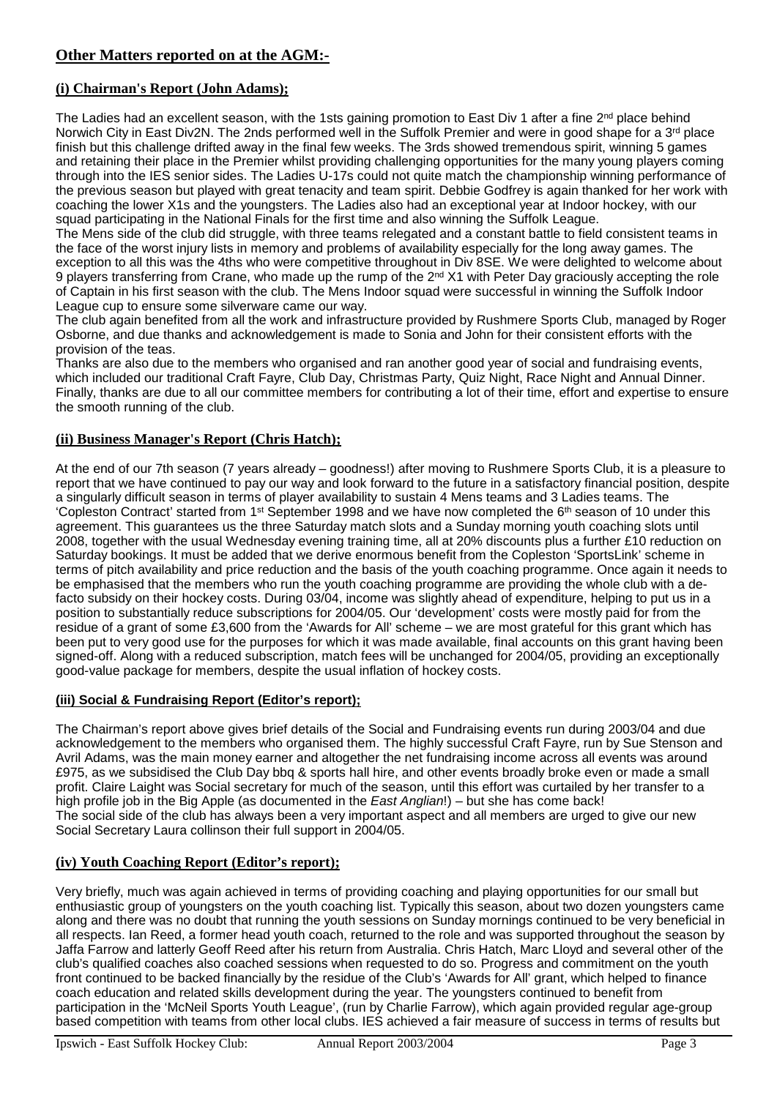### **(i) Chairman's Report (John Adams);**

The Ladies had an excellent season, with the 1sts gaining promotion to East Div 1 after a fine  $2^{nd}$  place behind Norwich City in East Div2N. The 2nds performed well in the Suffolk Premier and were in good shape for a 3<sup>rd</sup> place finish but this challenge drifted away in the final few weeks. The 3rds showed tremendous spirit, winning 5 games and retaining their place in the Premier whilst providing challenging opportunities for the many young players coming through into the IES senior sides. The Ladies U-17s could not quite match the championship winning performance of the previous season but played with great tenacity and team spirit. Debbie Godfrey is again thanked for her work with coaching the lower X1s and the youngsters. The Ladies also had an exceptional year at Indoor hockey, with our squad participating in the National Finals for the first time and also winning the Suffolk League.

The Mens side of the club did struggle, with three teams relegated and a constant battle to field consistent teams in the face of the worst injury lists in memory and problems of availability especially for the long away games. The exception to all this was the 4ths who were competitive throughout in Div 8SE. We were delighted to welcome about 9 players transferring from Crane, who made up the rump of the 2<sup>nd</sup> X1 with Peter Day graciously accepting the role of Captain in his first season with the club. The Mens Indoor squad were successful in winning the Suffolk Indoor League cup to ensure some silverware came our way.

The club again benefited from all the work and infrastructure provided by Rushmere Sports Club, managed by Roger Osborne, and due thanks and acknowledgement is made to Sonia and John for their consistent efforts with the provision of the teas.

Thanks are also due to the members who organised and ran another good year of social and fundraising events, which included our traditional Craft Fayre, Club Day, Christmas Party, Quiz Night, Race Night and Annual Dinner. Finally, thanks are due to all our committee members for contributing a lot of their time, effort and expertise to ensure the smooth running of the club.

#### **(ii) Business Manager's Report (Chris Hatch);**

At the end of our 7th season (7 years already – goodness!) after moving to Rushmere Sports Club, it is a pleasure to report that we have continued to pay our way and look forward to the future in a satisfactory financial position, despite a singularly difficult season in terms of player availability to sustain 4 Mens teams and 3 Ladies teams. The 'Copleston Contract' started from 1st September 1998 and we have now completed the 6th season of 10 under this agreement. This guarantees us the three Saturday match slots and a Sunday morning youth coaching slots until 2008, together with the usual Wednesday evening training time, all at 20% discounts plus a further £10 reduction on Saturday bookings. It must be added that we derive enormous benefit from the Copleston 'SportsLink' scheme in terms of pitch availability and price reduction and the basis of the youth coaching programme. Once again it needs to be emphasised that the members who run the youth coaching programme are providing the whole club with a defacto subsidy on their hockey costs. During 03/04, income was slightly ahead of expenditure, helping to put us in a position to substantially reduce subscriptions for 2004/05. Our 'development' costs were mostly paid for from the residue of a grant of some £3,600 from the 'Awards for All' scheme – we are most grateful for this grant which has been put to very good use for the purposes for which it was made available, final accounts on this grant having been signed-off. Along with a reduced subscription, match fees will be unchanged for 2004/05, providing an exceptionally good-value package for members, despite the usual inflation of hockey costs.

#### **(iii) Social & Fundraising Report (Editor's report);**

The Chairman's report above gives brief details of the Social and Fundraising events run during 2003/04 and due acknowledgement to the members who organised them. The highly successful Craft Fayre, run by Sue Stenson and Avril Adams, was the main money earner and altogether the net fundraising income across all events was around £975, as we subsidised the Club Day bbq & sports hall hire, and other events broadly broke even or made a small profit. Claire Laight was Social secretary for much of the season, until this effort was curtailed by her transfer to a high profile job in the Big Apple (as documented in the *East Anglian*!) – but she has come back! The social side of the club has always been a very important aspect and all members are urged to give our new Social Secretary Laura collinson their full support in 2004/05.

### **(iv) Youth Coaching Report (Editor's report);**

Very briefly, much was again achieved in terms of providing coaching and playing opportunities for our small but enthusiastic group of youngsters on the youth coaching list. Typically this season, about two dozen youngsters came along and there was no doubt that running the youth sessions on Sunday mornings continued to be very beneficial in all respects. Ian Reed, a former head youth coach, returned to the role and was supported throughout the season by Jaffa Farrow and latterly Geoff Reed after his return from Australia. Chris Hatch, Marc Lloyd and several other of the club's qualified coaches also coached sessions when requested to do so. Progress and commitment on the youth front continued to be backed financially by the residue of the Club's 'Awards for All' grant, which helped to finance coach education and related skills development during the year. The youngsters continued to benefit from participation in the 'McNeil Sports Youth League', (run by Charlie Farrow), which again provided regular age-group based competition with teams from other local clubs. IES achieved a fair measure of success in terms of results but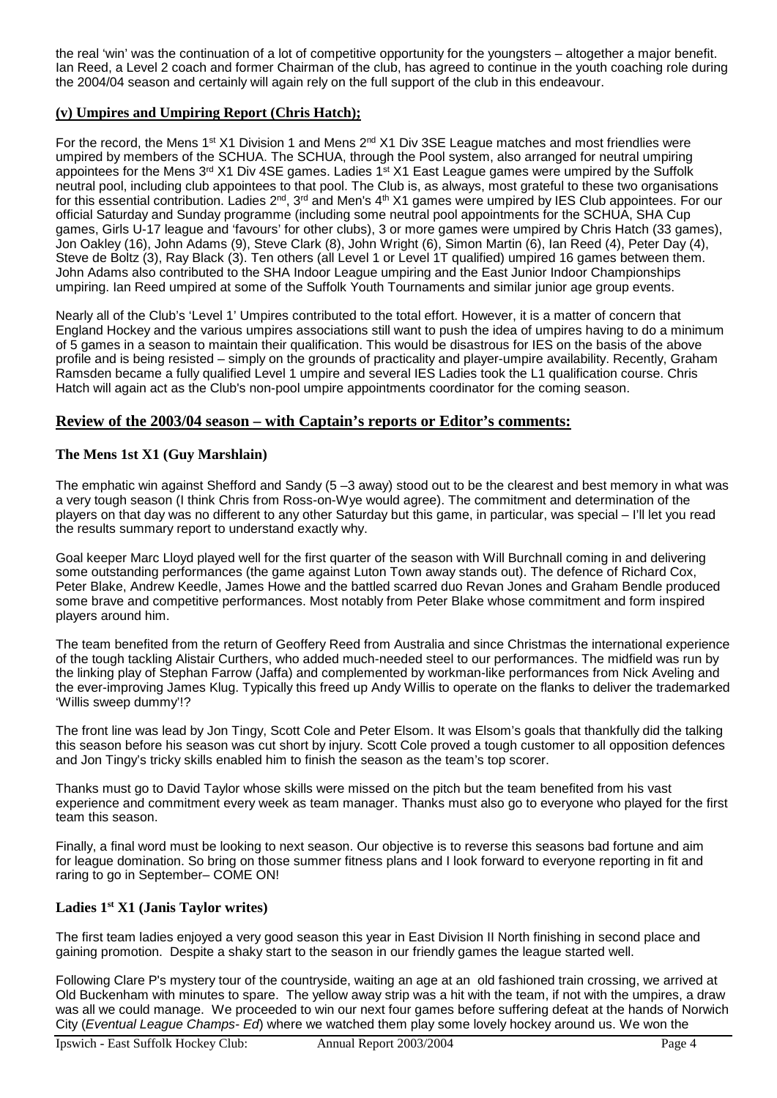the real 'win' was the continuation of a lot of competitive opportunity for the youngsters – altogether a major benefit. Ian Reed, a Level 2 coach and former Chairman of the club, has agreed to continue in the youth coaching role during the 2004/04 season and certainly will again rely on the full support of the club in this endeavour.

#### **(v) Umpires and Umpiring Report (Chris Hatch);**

For the record, the Mens 1<sup>st</sup> X1 Division 1 and Mens 2<sup>nd</sup> X1 Div 3SE League matches and most friendlies were umpired by members of the SCHUA. The SCHUA, through the Pool system, also arranged for neutral umpiring appointees for the Mens 3<sup>rd</sup> X1 Div 4SE games. Ladies 1<sup>st</sup> X1 East League games were umpired by the Suffolk neutral pool, including club appointees to that pool. The Club is, as always, most grateful to these two organisations for this essential contribution. Ladies 2nd, 3rd and Men's 4th X1 games were umpired by IES Club appointees. For our official Saturday and Sunday programme (including some neutral pool appointments for the SCHUA, SHA Cup games, Girls U-17 league and 'favours' for other clubs), 3 or more games were umpired by Chris Hatch (33 games), Jon Oakley (16), John Adams (9), Steve Clark (8), John Wright (6), Simon Martin (6), Ian Reed (4), Peter Day (4), Steve de Boltz (3), Ray Black (3). Ten others (all Level 1 or Level 1T qualified) umpired 16 games between them. John Adams also contributed to the SHA Indoor League umpiring and the East Junior Indoor Championships umpiring. Ian Reed umpired at some of the Suffolk Youth Tournaments and similar junior age group events.

Nearly all of the Club's 'Level 1' Umpires contributed to the total effort. However, it is a matter of concern that England Hockey and the various umpires associations still want to push the idea of umpires having to do a minimum of 5 games in a season to maintain their qualification. This would be disastrous for IES on the basis of the above profile and is being resisted – simply on the grounds of practicality and player-umpire availability. Recently, Graham Ramsden became a fully qualified Level 1 umpire and several IES Ladies took the L1 qualification course. Chris Hatch will again act as the Club's non-pool umpire appointments coordinator for the coming season.

#### **Review of the 2003/04 season – with Captain's reports or Editor's comments:**

#### **The Mens 1st X1 (Guy Marshlain)**

The emphatic win against Shefford and Sandy (5 –3 away) stood out to be the clearest and best memory in what was a very tough season (I think Chris from Ross-on-Wye would agree). The commitment and determination of the players on that day was no different to any other Saturday but this game, in particular, was special – I'll let you read the results summary report to understand exactly why.

Goal keeper Marc Lloyd played well for the first quarter of the season with Will Burchnall coming in and delivering some outstanding performances (the game against Luton Town away stands out). The defence of Richard Cox, Peter Blake, Andrew Keedle, James Howe and the battled scarred duo Revan Jones and Graham Bendle produced some brave and competitive performances. Most notably from Peter Blake whose commitment and form inspired players around him.

The team benefited from the return of Geoffery Reed from Australia and since Christmas the international experience of the tough tackling Alistair Curthers, who added much-needed steel to our performances. The midfield was run by the linking play of Stephan Farrow (Jaffa) and complemented by workman-like performances from Nick Aveling and the ever-improving James Klug. Typically this freed up Andy Willis to operate on the flanks to deliver the trademarked 'Willis sweep dummy'!?

The front line was lead by Jon Tingy, Scott Cole and Peter Elsom. It was Elsom's goals that thankfully did the talking this season before his season was cut short by injury. Scott Cole proved a tough customer to all opposition defences and Jon Tingy's tricky skills enabled him to finish the season as the team's top scorer.

Thanks must go to David Taylor whose skills were missed on the pitch but the team benefited from his vast experience and commitment every week as team manager. Thanks must also go to everyone who played for the first team this season.

Finally, a final word must be looking to next season. Our objective is to reverse this seasons bad fortune and aim for league domination. So bring on those summer fitness plans and I look forward to everyone reporting in fit and raring to go in September– COME ON!

#### **Ladies 1st X1 (Janis Taylor writes)**

The first team ladies enjoyed a very good season this year in East Division II North finishing in second place and gaining promotion. Despite a shaky start to the season in our friendly games the league started well.

Following Clare P's mystery tour of the countryside, waiting an age at an old fashioned train crossing, we arrived at Old Buckenham with minutes to spare. The yellow away strip was a hit with the team, if not with the umpires, a draw was all we could manage. We proceeded to win our next four games before suffering defeat at the hands of Norwich City (*Eventual League Champs- Ed*) where we watched them play some lovely hockey around us. We won the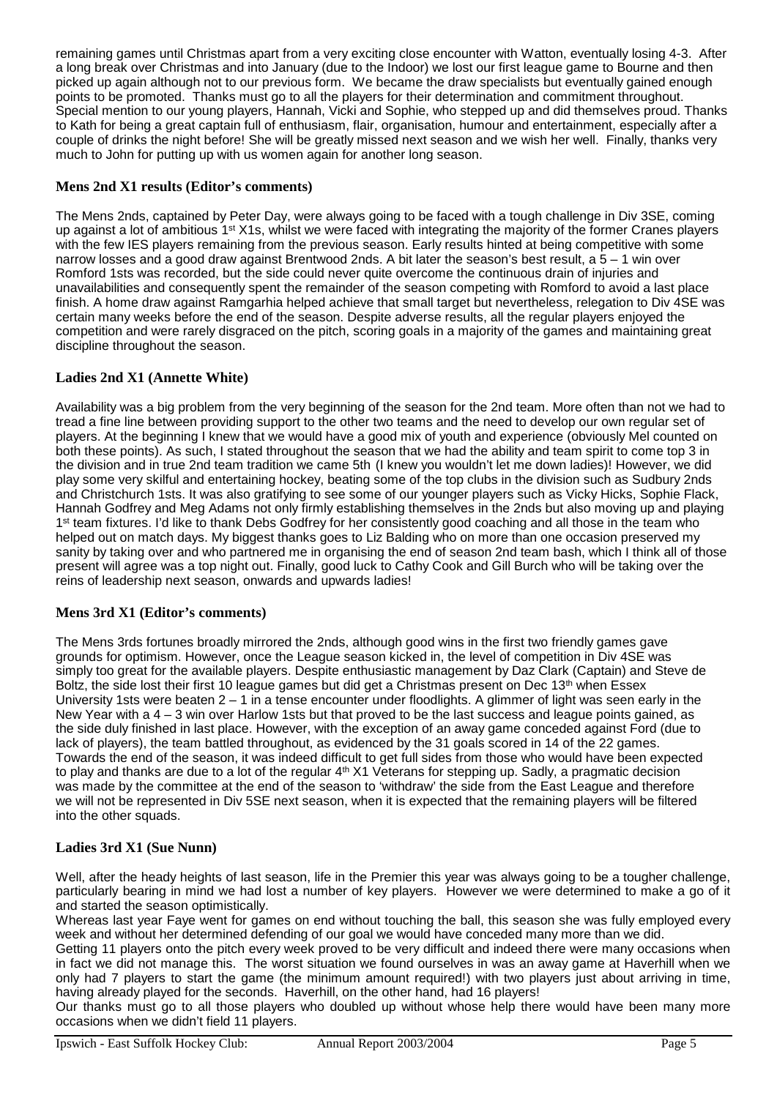remaining games until Christmas apart from a very exciting close encounter with Watton, eventually losing 4-3. After a long break over Christmas and into January (due to the Indoor) we lost our first league game to Bourne and then picked up again although not to our previous form. We became the draw specialists but eventually gained enough points to be promoted. Thanks must go to all the players for their determination and commitment throughout. Special mention to our young players, Hannah, Vicki and Sophie, who stepped up and did themselves proud. Thanks to Kath for being a great captain full of enthusiasm, flair, organisation, humour and entertainment, especially after a couple of drinks the night before! She will be greatly missed next season and we wish her well. Finally, thanks very much to John for putting up with us women again for another long season.

#### **Mens 2nd X1 results (Editor's comments)**

The Mens 2nds, captained by Peter Day, were always going to be faced with a tough challenge in Div 3SE, coming up against a lot of ambitious  $1<sup>st</sup> X1s$ , whilst we were faced with integrating the majority of the former Cranes players with the few IES players remaining from the previous season. Early results hinted at being competitive with some narrow losses and a good draw against Brentwood 2nds. A bit later the season's best result, a 5 – 1 win over Romford 1sts was recorded, but the side could never quite overcome the continuous drain of injuries and unavailabilities and consequently spent the remainder of the season competing with Romford to avoid a last place finish. A home draw against Ramgarhia helped achieve that small target but nevertheless, relegation to Div 4SE was certain many weeks before the end of the season. Despite adverse results, all the regular players enjoyed the competition and were rarely disgraced on the pitch, scoring goals in a majority of the games and maintaining great discipline throughout the season.

### **Ladies 2nd X1 (Annette White)**

Availability was a big problem from the very beginning of the season for the 2nd team. More often than not we had to tread a fine line between providing support to the other two teams and the need to develop our own regular set of players. At the beginning I knew that we would have a good mix of youth and experience (obviously Mel counted on both these points). As such, I stated throughout the season that we had the ability and team spirit to come top 3 in the division and in true 2nd team tradition we came 5th (I knew you wouldn't let me down ladies)! However, we did play some very skilful and entertaining hockey, beating some of the top clubs in the division such as Sudbury 2nds and Christchurch 1sts. It was also gratifying to see some of our younger players such as Vicky Hicks, Sophie Flack, Hannah Godfrey and Meg Adams not only firmly establishing themselves in the 2nds but also moving up and playing 1<sup>st</sup> team fixtures. I'd like to thank Debs Godfrey for her consistently good coaching and all those in the team who helped out on match days. My biggest thanks goes to Liz Balding who on more than one occasion preserved my sanity by taking over and who partnered me in organising the end of season 2nd team bash, which I think all of those present will agree was a top night out. Finally, good luck to Cathy Cook and Gill Burch who will be taking over the reins of leadership next season, onwards and upwards ladies!

#### **Mens 3rd X1 (Editor's comments)**

The Mens 3rds fortunes broadly mirrored the 2nds, although good wins in the first two friendly games gave grounds for optimism. However, once the League season kicked in, the level of competition in Div 4SE was simply too great for the available players. Despite enthusiastic management by Daz Clark (Captain) and Steve de Boltz, the side lost their first 10 league games but did get a Christmas present on Dec 13<sup>th</sup> when Essex University 1sts were beaten  $2 - 1$  in a tense encounter under floodlights. A glimmer of light was seen early in the New Year with a 4 – 3 win over Harlow 1sts but that proved to be the last success and league points gained, as the side duly finished in last place. However, with the exception of an away game conceded against Ford (due to lack of players), the team battled throughout, as evidenced by the 31 goals scored in 14 of the 22 games. Towards the end of the season, it was indeed difficult to get full sides from those who would have been expected to play and thanks are due to a lot of the regular  $4<sup>th</sup> X1$  Veterans for stepping up. Sadly, a pragmatic decision was made by the committee at the end of the season to 'withdraw' the side from the East League and therefore we will not be represented in Div 5SE next season, when it is expected that the remaining players will be filtered into the other squads.

### **Ladies 3rd X1 (Sue Nunn)**

Well, after the heady heights of last season, life in the Premier this year was always going to be a tougher challenge, particularly bearing in mind we had lost a number of key players. However we were determined to make a go of it and started the season optimistically.

Whereas last year Faye went for games on end without touching the ball, this season she was fully employed every week and without her determined defending of our goal we would have conceded many more than we did.

Getting 11 players onto the pitch every week proved to be very difficult and indeed there were many occasions when in fact we did not manage this. The worst situation we found ourselves in was an away game at Haverhill when we only had 7 players to start the game (the minimum amount required!) with two players just about arriving in time, having already played for the seconds. Haverhill, on the other hand, had 16 players!

Our thanks must go to all those players who doubled up without whose help there would have been many more occasions when we didn't field 11 players.